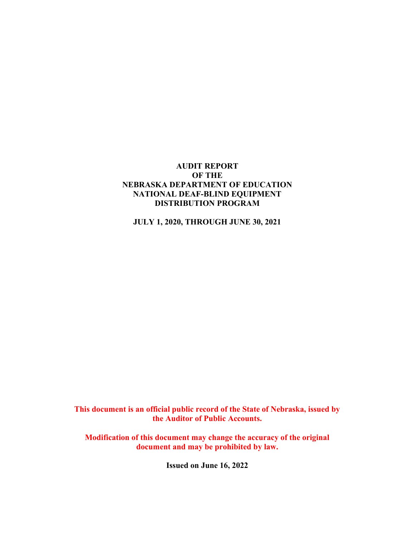# AUDIT REPORT OF THE NEBRASKA DEPARTMENT OF EDUCATION NATIONAL DEAF-BLIND EQUIPMENT DISTRIBUTION PROGRAM

JULY 1, 2020, THROUGH JUNE 30, 2021

This document is an official public record of the State of Nebraska, issued by the Auditor of Public Accounts.

Modification of this document may change the accuracy of the original document and may be prohibited by law.

Issued on June 16, 2022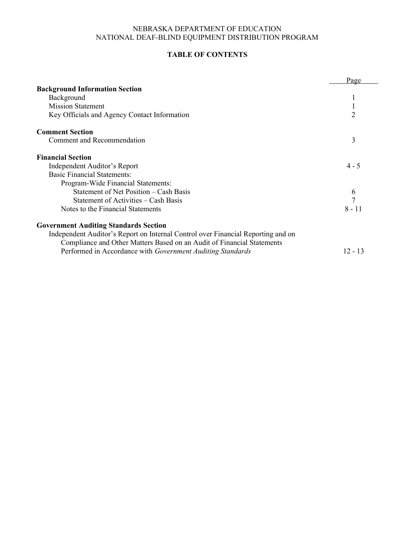# TABLE OF CONTENTS

|                                                                                  | Page     |
|----------------------------------------------------------------------------------|----------|
| <b>Background Information Section</b>                                            |          |
| Background                                                                       |          |
| <b>Mission Statement</b>                                                         |          |
| Key Officials and Agency Contact Information                                     | 2        |
| <b>Comment Section</b>                                                           |          |
| <b>Comment and Recommendation</b>                                                | 3        |
| <b>Financial Section</b>                                                         |          |
| Independent Auditor's Report                                                     | $4 - 5$  |
| <b>Basic Financial Statements:</b>                                               |          |
| Program-Wide Financial Statements:                                               |          |
| Statement of Net Position – Cash Basis                                           | 6        |
| Statement of Activities – Cash Basis                                             | 7        |
| Notes to the Financial Statements                                                | $8 - 11$ |
| <b>Government Auditing Standards Section</b>                                     |          |
| Independent Auditor's Report on Internal Control over Financial Reporting and on |          |
| Compliance and Other Matters Based on an Audit of Financial Statements           |          |
| Performed in Accordance with Government Auditing Standards                       | 12 - 13  |
|                                                                                  |          |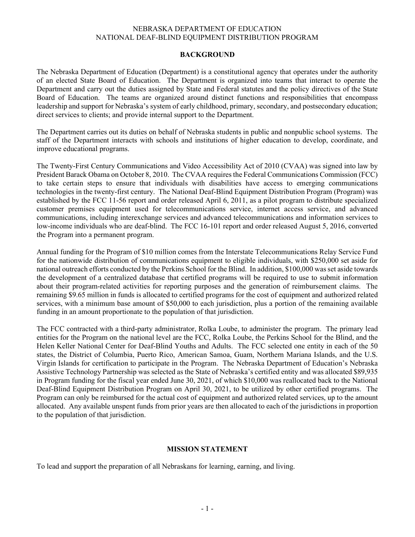#### BACKGROUND

The Nebraska Department of Education (Department) is a constitutional agency that operates under the authority of an elected State Board of Education. The Department is organized into teams that interact to operate the Department and carry out the duties assigned by State and Federal statutes and the policy directives of the State Board of Education. The teams are organized around distinct functions and responsibilities that encompass leadership and support for Nebraska's system of early childhood, primary, secondary, and postsecondary education; direct services to clients; and provide internal support to the Department.

The Department carries out its duties on behalf of Nebraska students in public and nonpublic school systems. The staff of the Department interacts with schools and institutions of higher education to develop, coordinate, and improve educational programs.

The Twenty-First Century Communications and Video Accessibility Act of 2010 (CVAA) was signed into law by President Barack Obama on October 8, 2010. The CVAA requires the Federal Communications Commission (FCC) to take certain steps to ensure that individuals with disabilities have access to emerging communications technologies in the twenty-first century. The National Deaf-Blind Equipment Distribution Program (Program) was established by the FCC 11-56 report and order released April 6, 2011, as a pilot program to distribute specialized customer premises equipment used for telecommunications service, internet access service, and advanced communications, including interexchange services and advanced telecommunications and information services to low-income individuals who are deaf-blind. The FCC 16-101 report and order released August 5, 2016, converted the Program into a permanent program.

Annual funding for the Program of \$10 million comes from the Interstate Telecommunications Relay Service Fund for the nationwide distribution of communications equipment to eligible individuals, with \$250,000 set aside for national outreach efforts conducted by the Perkins School for the Blind. In addition, \$100,000 was set aside towards the development of a centralized database that certified programs will be required to use to submit information about their program-related activities for reporting purposes and the generation of reimbursement claims. The remaining \$9.65 million in funds is allocated to certified programs for the cost of equipment and authorized related services, with a minimum base amount of \$50,000 to each jurisdiction, plus a portion of the remaining available funding in an amount proportionate to the population of that jurisdiction.

The FCC contracted with a third-party administrator, Rolka Loube, to administer the program. The primary lead entities for the Program on the national level are the FCC, Rolka Loube, the Perkins School for the Blind, and the Helen Keller National Center for Deaf-Blind Youths and Adults. The FCC selected one entity in each of the 50 states, the District of Columbia, Puerto Rico, American Samoa, Guam, Northern Mariana Islands, and the U.S. Virgin Islands for certification to participate in the Program. The Nebraska Department of Education's Nebraska Assistive Technology Partnership was selected as the State of Nebraska's certified entity and was allocated \$89,935 in Program funding for the fiscal year ended June 30, 2021, of which \$10,000 was reallocated back to the National Deaf-Blind Equipment Distribution Program on April 30, 2021, to be utilized by other certified programs. The Program can only be reimbursed for the actual cost of equipment and authorized related services, up to the amount allocated. Any available unspent funds from prior years are then allocated to each of the jurisdictions in proportion to the population of that jurisdiction.

#### MISSION STATEMENT

To lead and support the preparation of all Nebraskans for learning, earning, and living.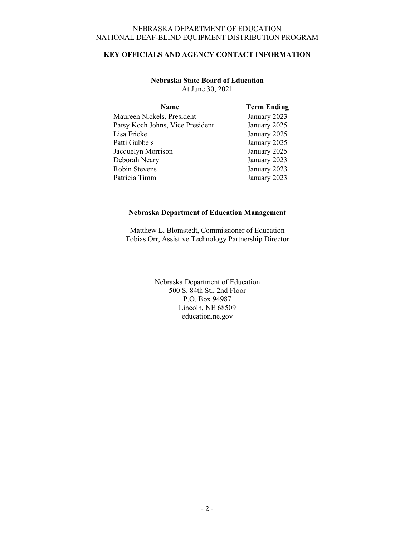# KEY OFFICIALS AND AGENCY CONTACT INFORMATION

| <b>Name</b>                      | <b>Term Ending</b> |  |
|----------------------------------|--------------------|--|
| Maureen Nickels, President       | January 2023       |  |
| Patsy Koch Johns, Vice President | January 2025       |  |
| Lisa Fricke                      | January 2025       |  |
| Patti Gubbels                    | January 2025       |  |
| Jacquelyn Morrison               | January 2025       |  |
| Deborah Neary                    | January 2023       |  |
| Robin Stevens                    | January 2023       |  |
| Patricia Timm                    | January 2023       |  |

#### Nebraska State Board of Education At June 30, 2021

# Nebraska Department of Education Management

Matthew L. Blomstedt, Commissioner of Education Tobias Orr, Assistive Technology Partnership Director

> Nebraska Department of Education 500 S. 84th St., 2nd Floor P.O. Box 94987 Lincoln, NE 68509 education.ne.gov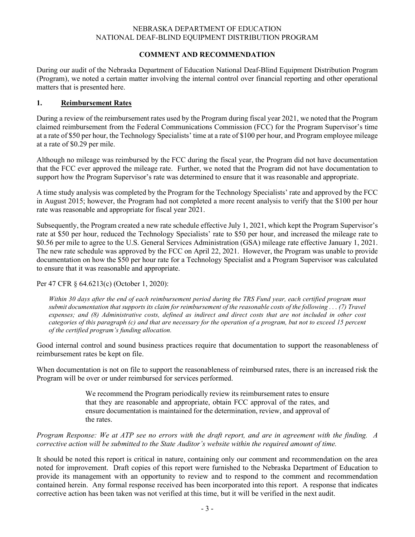# COMMENT AND RECOMMENDATION

During our audit of the Nebraska Department of Education National Deaf-Blind Equipment Distribution Program (Program), we noted a certain matter involving the internal control over financial reporting and other operational matters that is presented here.

# 1. Reimbursement Rates

During a review of the reimbursement rates used by the Program during fiscal year 2021, we noted that the Program claimed reimbursement from the Federal Communications Commission (FCC) for the Program Supervisor's time at a rate of \$50 per hour, the Technology Specialists' time at a rate of \$100 per hour, and Program employee mileage at a rate of \$0.29 per mile.

Although no mileage was reimbursed by the FCC during the fiscal year, the Program did not have documentation that the FCC ever approved the mileage rate. Further, we noted that the Program did not have documentation to support how the Program Supervisor's rate was determined to ensure that it was reasonable and appropriate.

A time study analysis was completed by the Program for the Technology Specialists' rate and approved by the FCC in August 2015; however, the Program had not completed a more recent analysis to verify that the \$100 per hour rate was reasonable and appropriate for fiscal year 2021.

Subsequently, the Program created a new rate schedule effective July 1, 2021, which kept the Program Supervisor's rate at \$50 per hour, reduced the Technology Specialists' rate to \$50 per hour, and increased the mileage rate to \$0.56 per mile to agree to the U.S. General Services Administration (GSA) mileage rate effective January 1, 2021. The new rate schedule was approved by the FCC on April 22, 2021. However, the Program was unable to provide documentation on how the \$50 per hour rate for a Technology Specialist and a Program Supervisor was calculated to ensure that it was reasonable and appropriate.

#### Per 47 CFR § 64.6213(c) (October 1, 2020):

Within 30 days after the end of each reimbursement period during the TRS Fund year, each certified program must submit documentation that supports its claim for reimbursement of the reasonable costs of the following . . . (7) Travel expenses; and (8) Administrative costs, defined as indirect and direct costs that are not included in other cost categories of this paragraph (c) and that are necessary for the operation of a program, but not to exceed 15 percent of the certified program's funding allocation.

Good internal control and sound business practices require that documentation to support the reasonableness of reimbursement rates be kept on file.

When documentation is not on file to support the reasonableness of reimbursed rates, there is an increased risk the Program will be over or under reimbursed for services performed.

> We recommend the Program periodically review its reimbursement rates to ensure that they are reasonable and appropriate, obtain FCC approval of the rates, and ensure documentation is maintained for the determination, review, and approval of the rates.

Program Response: We at ATP see no errors with the draft report, and are in agreement with the finding. A corrective action will be submitted to the State Auditor's website within the required amount of time.

It should be noted this report is critical in nature, containing only our comment and recommendation on the area noted for improvement. Draft copies of this report were furnished to the Nebraska Department of Education to provide its management with an opportunity to review and to respond to the comment and recommendation contained herein. Any formal response received has been incorporated into this report. A response that indicates corrective action has been taken was not verified at this time, but it will be verified in the next audit.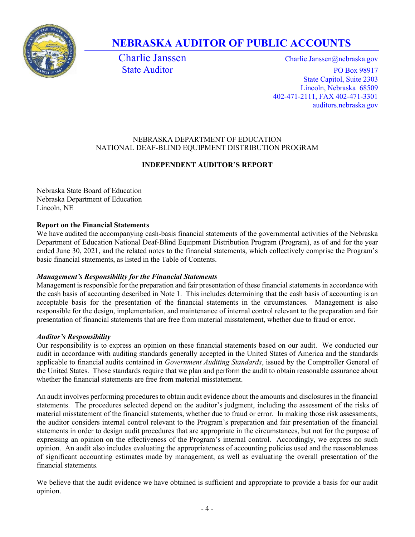

# NEBRASKA AUDITOR OF PUBLIC ACCOUNTS

 Charlie Janssen Charlie.Janssen@nebraska.gov State Auditor PO Box 98917 State Capitol, Suite 2303 Lincoln, Nebraska 68509 402-471-2111, FAX 402-471-3301 auditors.nebraska.gov

# NEBRASKA DEPARTMENT OF EDUCATION NATIONAL DEAF-BLIND EQUIPMENT DISTRIBUTION PROGRAM

# INDEPENDENT AUDITOR'S REPORT

Nebraska State Board of Education Nebraska Department of Education Lincoln, NE

# Report on the Financial Statements

We have audited the accompanying cash-basis financial statements of the governmental activities of the Nebraska Department of Education National Deaf-Blind Equipment Distribution Program (Program), as of and for the year ended June 30, 2021, and the related notes to the financial statements, which collectively comprise the Program's basic financial statements, as listed in the Table of Contents.

# Management's Responsibility for the Financial Statements

Management is responsible for the preparation and fair presentation of these financial statements in accordance with the cash basis of accounting described in Note 1. This includes determining that the cash basis of accounting is an acceptable basis for the presentation of the financial statements in the circumstances. Management is also responsible for the design, implementation, and maintenance of internal control relevant to the preparation and fair presentation of financial statements that are free from material misstatement, whether due to fraud or error.

# Auditor's Responsibility

Our responsibility is to express an opinion on these financial statements based on our audit. We conducted our audit in accordance with auditing standards generally accepted in the United States of America and the standards applicable to financial audits contained in *Government Auditing Standards*, issued by the Comptroller General of the United States. Those standards require that we plan and perform the audit to obtain reasonable assurance about whether the financial statements are free from material misstatement.

An audit involves performing procedures to obtain audit evidence about the amounts and disclosures in the financial statements. The procedures selected depend on the auditor's judgment, including the assessment of the risks of material misstatement of the financial statements, whether due to fraud or error. In making those risk assessments, the auditor considers internal control relevant to the Program's preparation and fair presentation of the financial statements in order to design audit procedures that are appropriate in the circumstances, but not for the purpose of expressing an opinion on the effectiveness of the Program's internal control. Accordingly, we express no such opinion. An audit also includes evaluating the appropriateness of accounting policies used and the reasonableness of significant accounting estimates made by management, as well as evaluating the overall presentation of the financial statements.

We believe that the audit evidence we have obtained is sufficient and appropriate to provide a basis for our audit opinion.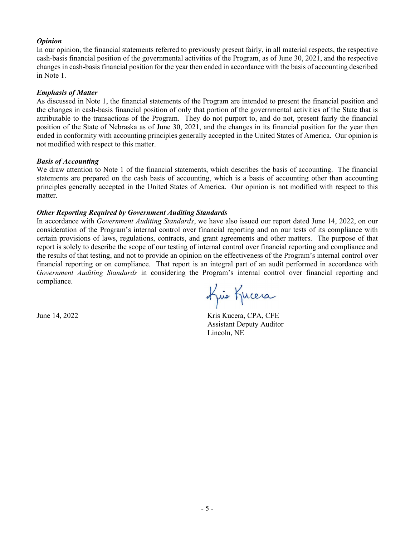# **Opinion**

In our opinion, the financial statements referred to previously present fairly, in all material respects, the respective cash-basis financial position of the governmental activities of the Program, as of June 30, 2021, and the respective changes in cash-basis financial position for the year then ended in accordance with the basis of accounting described in Note 1.

# Emphasis of Matter

As discussed in Note 1, the financial statements of the Program are intended to present the financial position and the changes in cash-basis financial position of only that portion of the governmental activities of the State that is attributable to the transactions of the Program. They do not purport to, and do not, present fairly the financial position of the State of Nebraska as of June 30, 2021, and the changes in its financial position for the year then ended in conformity with accounting principles generally accepted in the United States of America. Our opinion is not modified with respect to this matter.

#### Basis of Accounting

We draw attention to Note 1 of the financial statements, which describes the basis of accounting. The financial statements are prepared on the cash basis of accounting, which is a basis of accounting other than accounting principles generally accepted in the United States of America. Our opinion is not modified with respect to this matter.

# Other Reporting Required by Government Auditing Standards

In accordance with Government Auditing Standards, we have also issued our report dated June 14, 2022, on our consideration of the Program's internal control over financial reporting and on our tests of its compliance with certain provisions of laws, regulations, contracts, and grant agreements and other matters. The purpose of that report is solely to describe the scope of our testing of internal control over financial reporting and compliance and the results of that testing, and not to provide an opinion on the effectiveness of the Program's internal control over financial reporting or on compliance. That report is an integral part of an audit performed in accordance with Government Auditing Standards in considering the Program's internal control over financial reporting and compliance.

Luis Kucera

June 14, 2022 Kris Kucera, CPA, CFE Assistant Deputy Auditor Lincoln, NE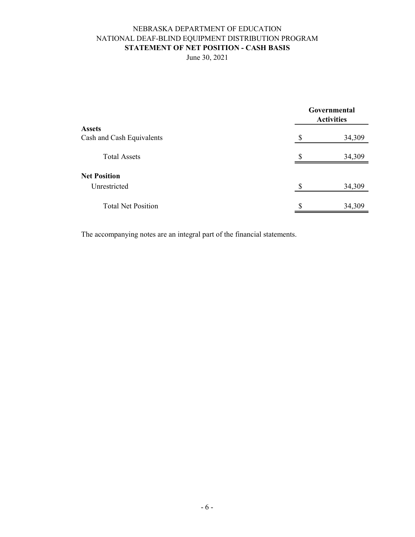# NEBRASKA DEPARTMENT OF EDUCATION NATIONAL DEAF-BLIND EQUIPMENT DISTRIBUTION PROGRAM STATEMENT OF NET POSITION - CASH BASIS

June 30, 2021

|                           |   | Governmental<br><b>Activities</b> |  |
|---------------------------|---|-----------------------------------|--|
| <b>Assets</b>             |   |                                   |  |
| Cash and Cash Equivalents | S | 34,309                            |  |
| <b>Total Assets</b>       |   | 34,309                            |  |
| <b>Net Position</b>       |   |                                   |  |
| Unrestricted              |   | 34,309                            |  |
|                           |   |                                   |  |
| <b>Total Net Position</b> |   | 34,309                            |  |

The accompanying notes are an integral part of the financial statements.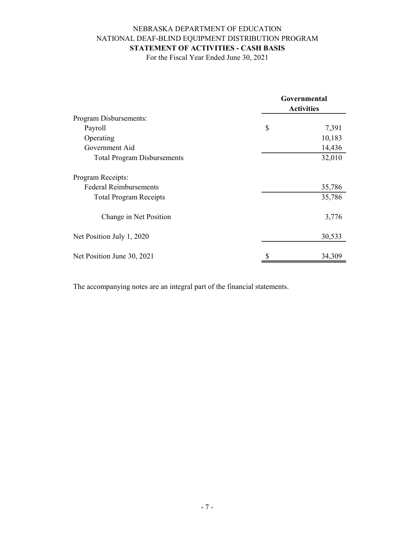# NEBRASKA DEPARTMENT OF EDUCATION NATIONAL DEAF-BLIND EQUIPMENT DISTRIBUTION PROGRAM STATEMENT OF ACTIVITIES - CASH BASIS

For the Fiscal Year Ended June 30, 2021

|                                    | Governmental<br><b>Activities</b> |        |  |
|------------------------------------|-----------------------------------|--------|--|
| Program Disbursements:             |                                   |        |  |
| Payroll                            | \$                                | 7,391  |  |
| Operating                          |                                   | 10,183 |  |
| Government Aid                     |                                   | 14,436 |  |
| <b>Total Program Disbursements</b> |                                   | 32,010 |  |
| Program Receipts:                  |                                   |        |  |
| <b>Federal Reimbursements</b>      |                                   | 35,786 |  |
| <b>Total Program Receipts</b>      |                                   | 35,786 |  |
| Change in Net Position             |                                   | 3,776  |  |
| Net Position July 1, 2020          |                                   | 30,533 |  |
| Net Position June 30, 2021         | \$                                | 34,309 |  |

The accompanying notes are an integral part of the financial statements.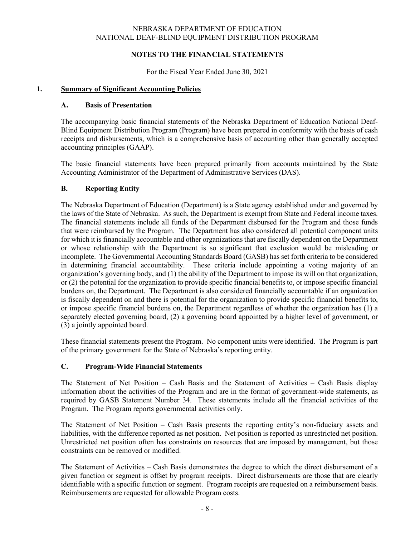# NOTES TO THE FINANCIAL STATEMENTS

For the Fiscal Year Ended June 30, 2021

#### 1. Summary of Significant Accounting Policies

#### A. Basis of Presentation

The accompanying basic financial statements of the Nebraska Department of Education National Deaf-Blind Equipment Distribution Program (Program) have been prepared in conformity with the basis of cash receipts and disbursements, which is a comprehensive basis of accounting other than generally accepted accounting principles (GAAP).

The basic financial statements have been prepared primarily from accounts maintained by the State Accounting Administrator of the Department of Administrative Services (DAS).

#### B. Reporting Entity

The Nebraska Department of Education (Department) is a State agency established under and governed by the laws of the State of Nebraska. As such, the Department is exempt from State and Federal income taxes. The financial statements include all funds of the Department disbursed for the Program and those funds that were reimbursed by the Program. The Department has also considered all potential component units for which it is financially accountable and other organizations that are fiscally dependent on the Department or whose relationship with the Department is so significant that exclusion would be misleading or incomplete. The Governmental Accounting Standards Board (GASB) has set forth criteria to be considered in determining financial accountability. These criteria include appointing a voting majority of an organization's governing body, and (1) the ability of the Department to impose its will on that organization, or (2) the potential for the organization to provide specific financial benefits to, or impose specific financial burdens on, the Department. The Department is also considered financially accountable if an organization is fiscally dependent on and there is potential for the organization to provide specific financial benefits to, or impose specific financial burdens on, the Department regardless of whether the organization has (1) a separately elected governing board, (2) a governing board appointed by a higher level of government, or (3) a jointly appointed board.

These financial statements present the Program. No component units were identified. The Program is part of the primary government for the State of Nebraska's reporting entity.

#### C. Program-Wide Financial Statements

The Statement of Net Position – Cash Basis and the Statement of Activities – Cash Basis display information about the activities of the Program and are in the format of government-wide statements, as required by GASB Statement Number 34. These statements include all the financial activities of the Program. The Program reports governmental activities only.

The Statement of Net Position – Cash Basis presents the reporting entity's non-fiduciary assets and liabilities, with the difference reported as net position. Net position is reported as unrestricted net position. Unrestricted net position often has constraints on resources that are imposed by management, but those constraints can be removed or modified.

The Statement of Activities – Cash Basis demonstrates the degree to which the direct disbursement of a given function or segment is offset by program receipts. Direct disbursements are those that are clearly identifiable with a specific function or segment. Program receipts are requested on a reimbursement basis. Reimbursements are requested for allowable Program costs.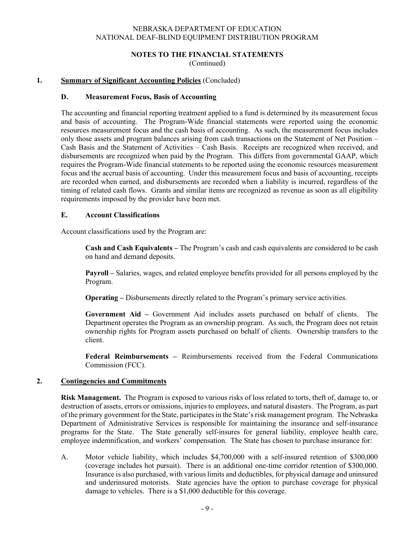# NOTES TO THE FINANCIAL STATEMENTS

(Continued)

# 1. Summary of Significant Accounting Policies (Concluded)

#### D. Measurement Focus, Basis of Accounting

The accounting and financial reporting treatment applied to a fund is determined by its measurement focus and basis of accounting. The Program-Wide financial statements were reported using the economic resources measurement focus and the cash basis of accounting. As such, the measurement focus includes only those assets and program balances arising from cash transactions on the Statement of Net Position – Cash Basis and the Statement of Activities – Cash Basis. Receipts are recognized when received, and disbursements are recognized when paid by the Program. This differs from governmental GAAP, which requires the Program-Wide financial statements to be reported using the economic resources measurement focus and the accrual basis of accounting. Under this measurement focus and basis of accounting, receipts are recorded when earned, and disbursements are recorded when a liability is incurred, regardless of the timing of related cash flows. Grants and similar items are recognized as revenue as soon as all eligibility requirements imposed by the provider have been met.

#### E. Account Classifications

Account classifications used by the Program are:

Cash and Cash Equivalents – The Program's cash and cash equivalents are considered to be cash on hand and demand deposits.

Payroll – Salaries, wages, and related employee benefits provided for all persons employed by the Program.

Operating – Disbursements directly related to the Program's primary service activities.

Government Aid – Government Aid includes assets purchased on behalf of clients. The Department operates the Program as an ownership program. As such, the Program does not retain ownership rights for Program assets purchased on behalf of clients. Ownership transfers to the client.

Federal Reimbursements – Reimbursements received from the Federal Communications Commission (FCC).

#### 2. Contingencies and Commitments

Risk Management. The Program is exposed to various risks of loss related to torts, theft of, damage to, or destruction of assets, errors or omissions, injuries to employees, and natural disasters. The Program, as part of the primary government for the State, participates in the State's risk management program. The Nebraska Department of Administrative Services is responsible for maintaining the insurance and self-insurance programs for the State. The State generally self-insures for general liability, employee health care, employee indemnification, and workers' compensation. The State has chosen to purchase insurance for:

A. Motor vehicle liability, which includes \$4,700,000 with a self-insured retention of \$300,000 (coverage includes hot pursuit). There is an additional one-time corridor retention of \$300,000. Insurance is also purchased, with various limits and deductibles, for physical damage and uninsured and underinsured motorists. State agencies have the option to purchase coverage for physical damage to vehicles. There is a \$1,000 deductible for this coverage.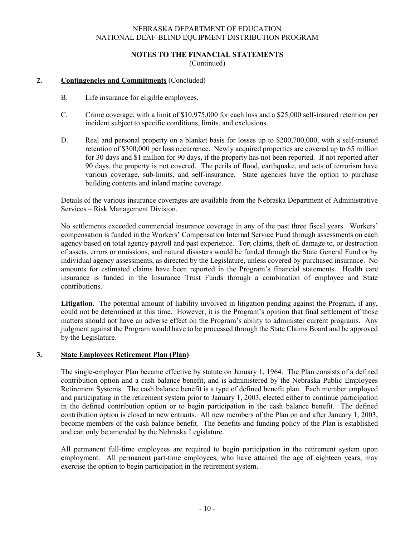# NOTES TO THE FINANCIAL STATEMENTS

(Continued)

# 2. Contingencies and Commitments (Concluded)

- B. Life insurance for eligible employees.
- C. Crime coverage, with a limit of \$10,975,000 for each loss and a \$25,000 self-insured retention per incident subject to specific conditions, limits, and exclusions.
- D. Real and personal property on a blanket basis for losses up to \$200,700,000, with a self-insured retention of \$300,000 per loss occurrence. Newly acquired properties are covered up to \$5 million for 30 days and \$1 million for 90 days, if the property has not been reported. If not reported after 90 days, the property is not covered. The perils of flood, earthquake, and acts of terrorism have various coverage, sub-limits, and self-insurance. State agencies have the option to purchase building contents and inland marine coverage.

Details of the various insurance coverages are available from the Nebraska Department of Administrative Services – Risk Management Division.

No settlements exceeded commercial insurance coverage in any of the past three fiscal years. Workers' compensation is funded in the Workers' Compensation Internal Service Fund through assessments on each agency based on total agency payroll and past experience. Tort claims, theft of, damage to, or destruction of assets, errors or omissions, and natural disasters would be funded through the State General Fund or by individual agency assessments, as directed by the Legislature, unless covered by purchased insurance. No amounts for estimated claims have been reported in the Program's financial statements. Health care insurance is funded in the Insurance Trust Funds through a combination of employee and State contributions.

Litigation. The potential amount of liability involved in litigation pending against the Program, if any, could not be determined at this time. However, it is the Program's opinion that final settlement of those matters should not have an adverse effect on the Program's ability to administer current programs. Any judgment against the Program would have to be processed through the State Claims Board and be approved by the Legislature.

#### 3. State Employees Retirement Plan (Plan)

The single-employer Plan became effective by statute on January 1, 1964. The Plan consists of a defined contribution option and a cash balance benefit, and is administered by the Nebraska Public Employees Retirement Systems. The cash balance benefit is a type of defined benefit plan. Each member employed and participating in the retirement system prior to January 1, 2003, elected either to continue participation in the defined contribution option or to begin participation in the cash balance benefit. The defined contribution option is closed to new entrants. All new members of the Plan on and after January 1, 2003, become members of the cash balance benefit. The benefits and funding policy of the Plan is established and can only be amended by the Nebraska Legislature.

All permanent full-time employees are required to begin participation in the retirement system upon employment. All permanent part-time employees, who have attained the age of eighteen years, may exercise the option to begin participation in the retirement system.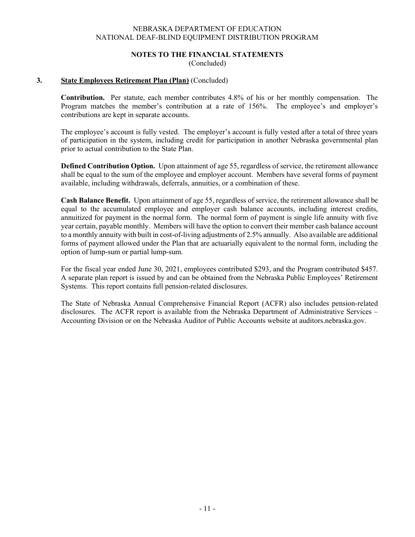#### NOTES TO THE FINANCIAL STATEMENTS (Concluded)

#### 3. State Employees Retirement Plan (Plan) (Concluded)

Contribution. Per statute, each member contributes 4.8% of his or her monthly compensation. The Program matches the member's contribution at a rate of 156%. The employee's and employer's contributions are kept in separate accounts.

The employee's account is fully vested. The employer's account is fully vested after a total of three years of participation in the system, including credit for participation in another Nebraska governmental plan prior to actual contribution to the State Plan.

Defined Contribution Option. Upon attainment of age 55, regardless of service, the retirement allowance shall be equal to the sum of the employee and employer account. Members have several forms of payment available, including withdrawals, deferrals, annuities, or a combination of these.

Cash Balance Benefit. Upon attainment of age 55, regardless of service, the retirement allowance shall be equal to the accumulated employee and employer cash balance accounts, including interest credits, annuitized for payment in the normal form. The normal form of payment is single life annuity with five year certain, payable monthly. Members will have the option to convert their member cash balance account to a monthly annuity with built in cost-of-living adjustments of 2.5% annually. Also available are additional forms of payment allowed under the Plan that are actuarially equivalent to the normal form, including the option of lump-sum or partial lump-sum.

For the fiscal year ended June 30, 2021, employees contributed \$293, and the Program contributed \$457. A separate plan report is issued by and can be obtained from the Nebraska Public Employees' Retirement Systems. This report contains full pension-related disclosures.

The State of Nebraska Annual Comprehensive Financial Report (ACFR) also includes pension-related disclosures. The ACFR report is available from the Nebraska Department of Administrative Services – Accounting Division or on the Nebraska Auditor of Public Accounts website at auditors.nebraska.gov.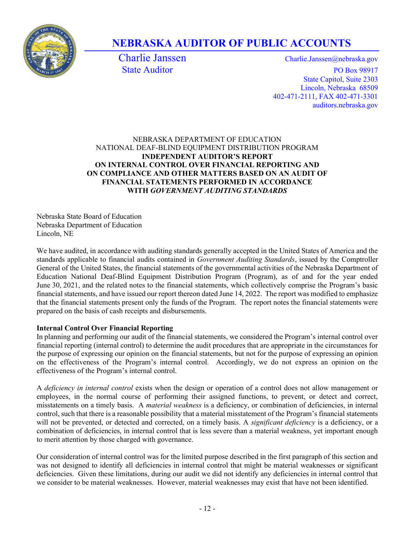

# NEBRASKA AUDITOR OF PUBLIC ACCOUNTS

Charlie Janssen Charlie.Janssen @nebraska.gov State Auditor PO Box 98917 State Capitol, Suite 2303 Lincoln, Nebraska 68509 402-471-2111, FAX 402-471-3301 auditors.nebraska.gov

# NEBRASKA DEPARTMENT OF EDUCATION NATIONAL DEAF-BLIND EQUIPMENT DISTRIBUTION PROGRAM INDEPENDENT AUDITOR'S REPORT ON INTERNAL CONTROL OVER FINANCIAL REPORTING AND ON COMPLIANCE AND OTHER MATTERS BASED ON AN AUDIT OF FINANCIAL STATEMENTS PERFORMED IN ACCORDANCE WITH GOVERNMENT AUDITING STANDARDS

Nebraska State Board of Education Nebraska Department of Education Lincoln, NE

We have audited, in accordance with auditing standards generally accepted in the United States of America and the standards applicable to financial audits contained in *Government Auditing Standards*, issued by the Comptroller General of the United States, the financial statements of the governmental activities of the Nebraska Department of Education National Deaf-Blind Equipment Distribution Program (Program), as of and for the year ended June 30, 2021, and the related notes to the financial statements, which collectively comprise the Program's basic financial statements, and have issued our report thereon dated June 14, 2022. The report was modified to emphasize that the financial statements present only the funds of the Program. The report notes the financial statements were prepared on the basis of cash receipts and disbursements.

# Internal Control Over Financial Reporting

In planning and performing our audit of the financial statements, we considered the Program's internal control over financial reporting (internal control) to determine the audit procedures that are appropriate in the circumstances for the purpose of expressing our opinion on the financial statements, but not for the purpose of expressing an opinion on the effectiveness of the Program's internal control. Accordingly, we do not express an opinion on the effectiveness of the Program's internal control.

A deficiency in internal control exists when the design or operation of a control does not allow management or employees, in the normal course of performing their assigned functions, to prevent, or detect and correct, misstatements on a timely basis. A *material weakness* is a deficiency, or combination of deficiencies, in internal control, such that there is a reasonable possibility that a material misstatement of the Program's financial statements will not be prevented, or detected and corrected, on a timely basis. A *significant deficiency* is a deficiency, or a combination of deficiencies, in internal control that is less severe than a material weakness, yet important enough to merit attention by those charged with governance.

Our consideration of internal control was for the limited purpose described in the first paragraph of this section and was not designed to identify all deficiencies in internal control that might be material weaknesses or significant deficiencies. Given these limitations, during our audit we did not identify any deficiencies in internal control that we consider to be material weaknesses. However, material weaknesses may exist that have not been identified.